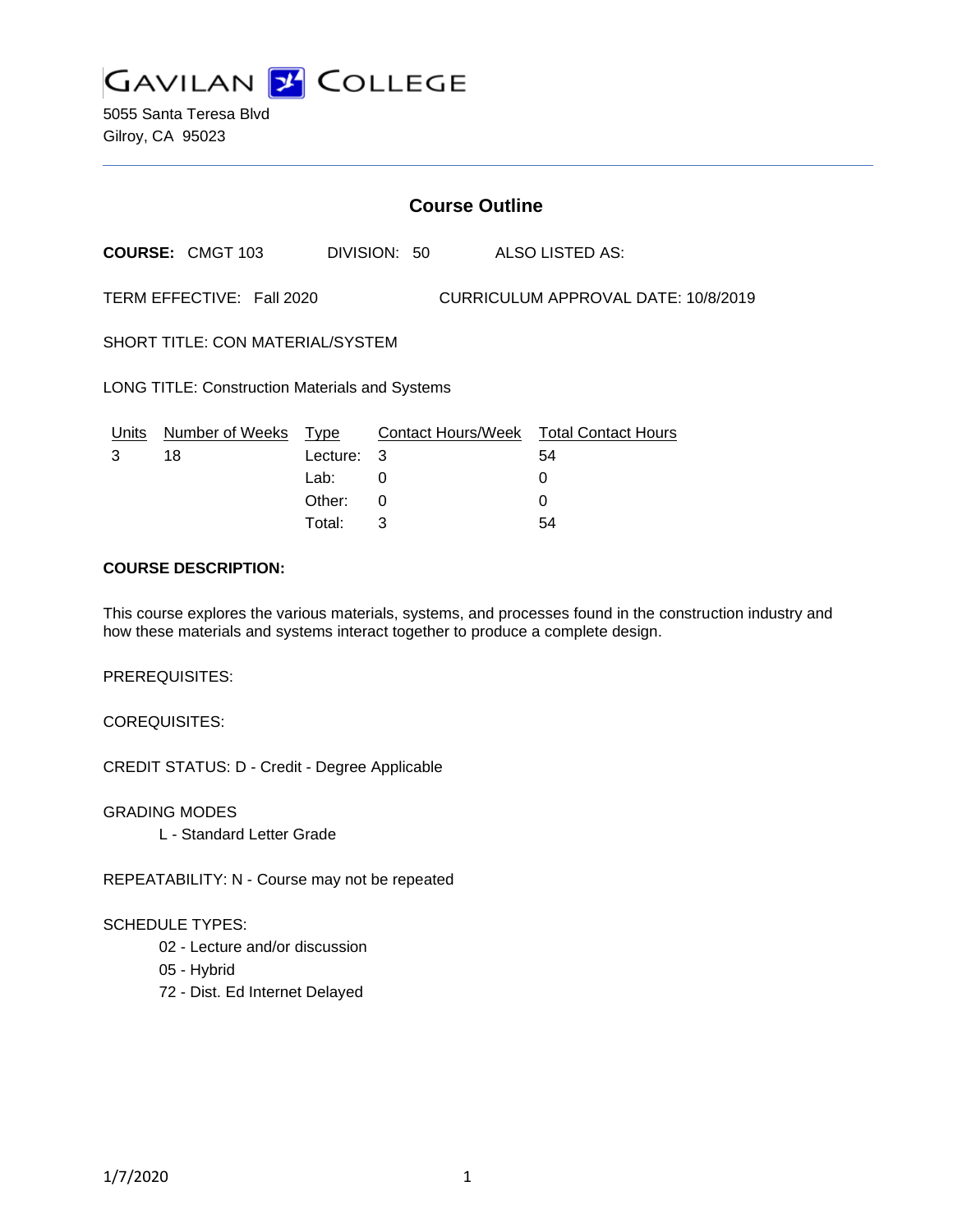

5055 Santa Teresa Blvd Gilroy, CA 95023

# **Course Outline**

**COURSE:** CMGT 103 DIVISION: 50 ALSO LISTED AS:

TERM EFFECTIVE: Fall 2020 CURRICULUM APPROVAL DATE: 10/8/2019

SHORT TITLE: CON MATERIAL/SYSTEM

LONG TITLE: Construction Materials and Systems

| Units | Number of Weeks Type |            | Contact Hours/Week Total Contact Hours |    |
|-------|----------------------|------------|----------------------------------------|----|
|       | 18                   | Lecture: 3 |                                        | 54 |
|       |                      | Lab:       |                                        |    |
|       |                      | Other:     |                                        |    |
|       |                      | Total:     |                                        | 54 |

# **COURSE DESCRIPTION:**

This course explores the various materials, systems, and processes found in the construction industry and how these materials and systems interact together to produce a complete design.

PREREQUISITES:

COREQUISITES:

CREDIT STATUS: D - Credit - Degree Applicable

GRADING MODES L - Standard Letter Grade

REPEATABILITY: N - Course may not be repeated

# SCHEDULE TYPES:

02 - Lecture and/or discussion

05 - Hybrid

72 - Dist. Ed Internet Delayed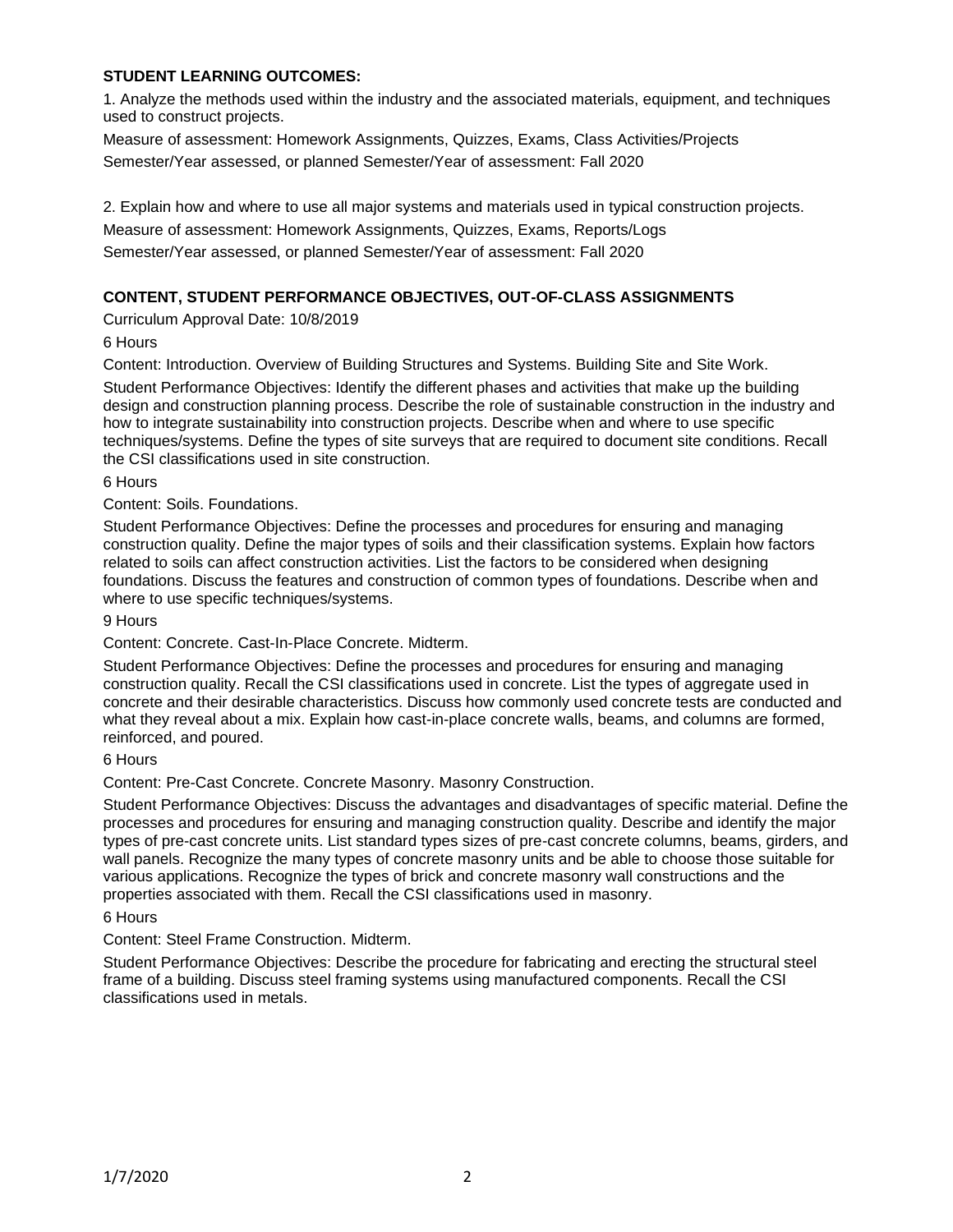# **STUDENT LEARNING OUTCOMES:**

1. Analyze the methods used within the industry and the associated materials, equipment, and techniques used to construct projects.

Measure of assessment: Homework Assignments, Quizzes, Exams, Class Activities/Projects Semester/Year assessed, or planned Semester/Year of assessment: Fall 2020

2. Explain how and where to use all major systems and materials used in typical construction projects.

Measure of assessment: Homework Assignments, Quizzes, Exams, Reports/Logs

Semester/Year assessed, or planned Semester/Year of assessment: Fall 2020

# **CONTENT, STUDENT PERFORMANCE OBJECTIVES, OUT-OF-CLASS ASSIGNMENTS**

Curriculum Approval Date: 10/8/2019

6 Hours

Content: Introduction. Overview of Building Structures and Systems. Building Site and Site Work.

Student Performance Objectives: Identify the different phases and activities that make up the building design and construction planning process. Describe the role of sustainable construction in the industry and how to integrate sustainability into construction projects. Describe when and where to use specific techniques/systems. Define the types of site surveys that are required to document site conditions. Recall the CSI classifications used in site construction.

#### 6 Hours

Content: Soils. Foundations.

Student Performance Objectives: Define the processes and procedures for ensuring and managing construction quality. Define the major types of soils and their classification systems. Explain how factors related to soils can affect construction activities. List the factors to be considered when designing foundations. Discuss the features and construction of common types of foundations. Describe when and where to use specific techniques/systems.

9 Hours

Content: Concrete. Cast-In-Place Concrete. Midterm.

Student Performance Objectives: Define the processes and procedures for ensuring and managing construction quality. Recall the CSI classifications used in concrete. List the types of aggregate used in concrete and their desirable characteristics. Discuss how commonly used concrete tests are conducted and what they reveal about a mix. Explain how cast-in-place concrete walls, beams, and columns are formed, reinforced, and poured.

# 6 Hours

Content: Pre-Cast Concrete. Concrete Masonry. Masonry Construction.

Student Performance Objectives: Discuss the advantages and disadvantages of specific material. Define the processes and procedures for ensuring and managing construction quality. Describe and identify the major types of pre-cast concrete units. List standard types sizes of pre-cast concrete columns, beams, girders, and wall panels. Recognize the many types of concrete masonry units and be able to choose those suitable for various applications. Recognize the types of brick and concrete masonry wall constructions and the properties associated with them. Recall the CSI classifications used in masonry.

# 6 Hours

Content: Steel Frame Construction. Midterm.

Student Performance Objectives: Describe the procedure for fabricating and erecting the structural steel frame of a building. Discuss steel framing systems using manufactured components. Recall the CSI classifications used in metals.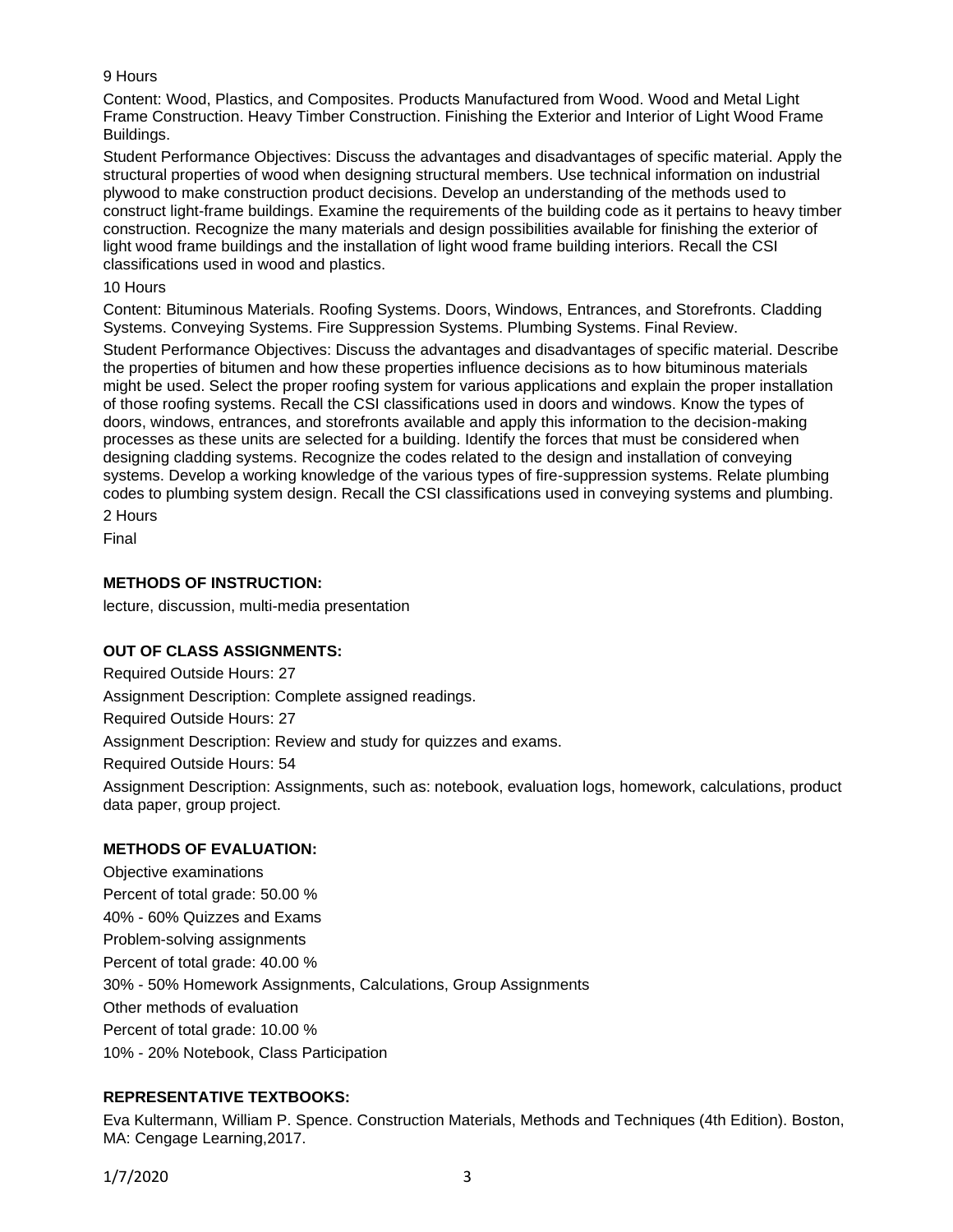# 9 Hours

Content: Wood, Plastics, and Composites. Products Manufactured from Wood. Wood and Metal Light Frame Construction. Heavy Timber Construction. Finishing the Exterior and Interior of Light Wood Frame Buildings.

Student Performance Objectives: Discuss the advantages and disadvantages of specific material. Apply the structural properties of wood when designing structural members. Use technical information on industrial plywood to make construction product decisions. Develop an understanding of the methods used to construct light-frame buildings. Examine the requirements of the building code as it pertains to heavy timber construction. Recognize the many materials and design possibilities available for finishing the exterior of light wood frame buildings and the installation of light wood frame building interiors. Recall the CSI classifications used in wood and plastics.

#### 10 Hours

Content: Bituminous Materials. Roofing Systems. Doors, Windows, Entrances, and Storefronts. Cladding Systems. Conveying Systems. Fire Suppression Systems. Plumbing Systems. Final Review.

Student Performance Objectives: Discuss the advantages and disadvantages of specific material. Describe the properties of bitumen and how these properties influence decisions as to how bituminous materials might be used. Select the proper roofing system for various applications and explain the proper installation of those roofing systems. Recall the CSI classifications used in doors and windows. Know the types of doors, windows, entrances, and storefronts available and apply this information to the decision-making processes as these units are selected for a building. Identify the forces that must be considered when designing cladding systems. Recognize the codes related to the design and installation of conveying systems. Develop a working knowledge of the various types of fire-suppression systems. Relate plumbing codes to plumbing system design. Recall the CSI classifications used in conveying systems and plumbing.

2 Hours

Final

# **METHODS OF INSTRUCTION:**

lecture, discussion, multi-media presentation

# **OUT OF CLASS ASSIGNMENTS:**

Required Outside Hours: 27 Assignment Description: Complete assigned readings. Required Outside Hours: 27 Assignment Description: Review and study for quizzes and exams. Required Outside Hours: 54 Assignment Description: Assignments, such as: notebook, evaluation logs, homework, calculations, product data paper, group project.

# **METHODS OF EVALUATION:**

Objective examinations Percent of total grade: 50.00 % 40% - 60% Quizzes and Exams Problem-solving assignments Percent of total grade: 40.00 % 30% - 50% Homework Assignments, Calculations, Group Assignments Other methods of evaluation Percent of total grade: 10.00 % 10% - 20% Notebook, Class Participation

# **REPRESENTATIVE TEXTBOOKS:**

Eva Kultermann, William P. Spence. Construction Materials, Methods and Techniques (4th Edition). Boston, MA: Cengage Learning,2017.